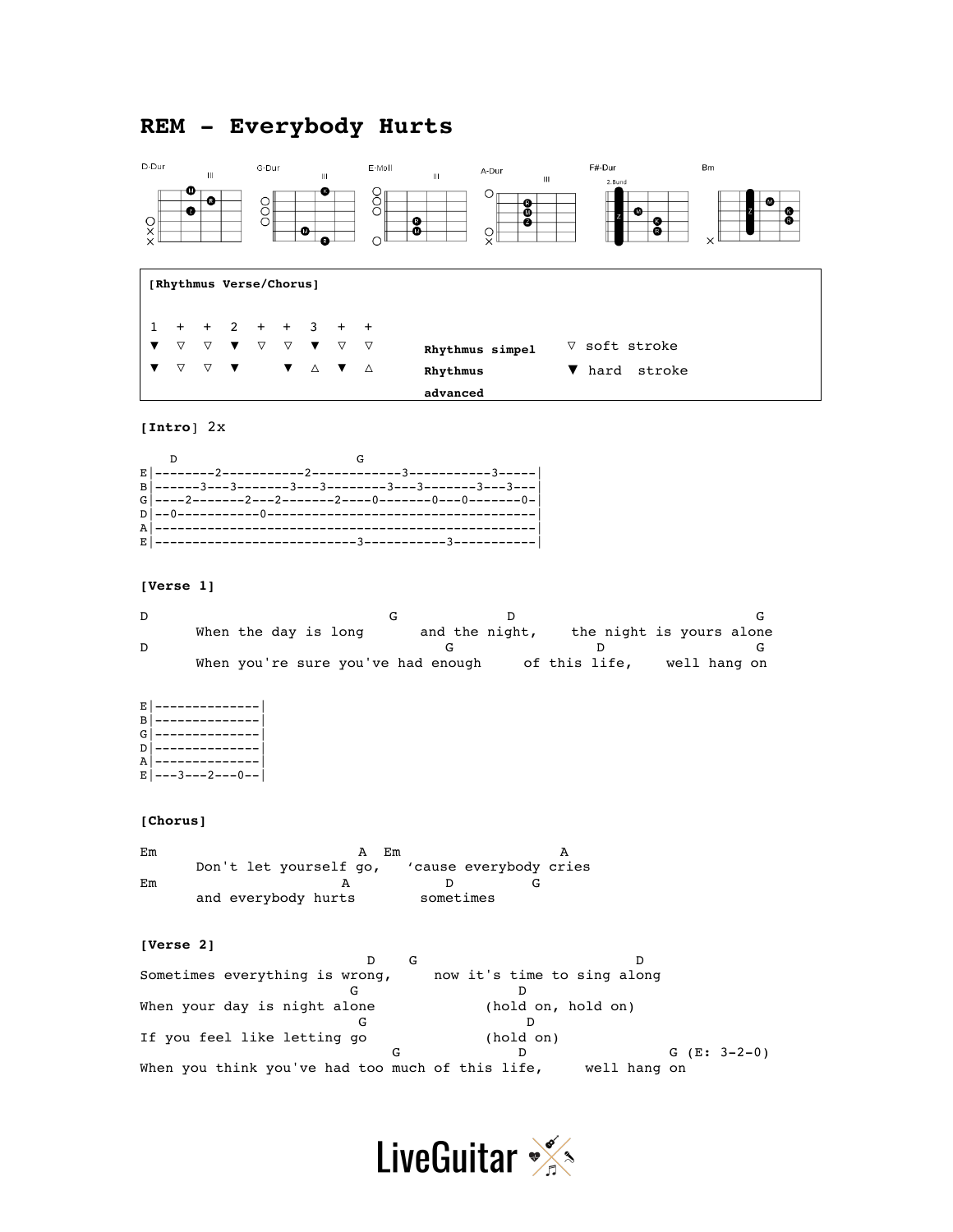# **REM - Everybody Hurts**



## **[Intro**] 2x

#### **[Verse 1]**

| When the day is long |  |                                    |  | and the night, | the night is yours alone |  |              |  |
|----------------------|--|------------------------------------|--|----------------|--------------------------|--|--------------|--|
|                      |  |                                    |  |                |                          |  |              |  |
|                      |  | When you're sure you've had enough |  |                | of this life,            |  | well hang on |  |

E|--------------| B|--------------| G|--------------|

D|--------------| A|--------------|

```
E|---3---2---0--
```
## **[Chorus]**

Em A Em A A Don't let yourself go, 'cause everybody cries Em A D G and everybody hurts sometimes

#### **[Verse 2]**

D G D Sometimes everything is wrong, now it's time to sing along G D When your day is night alone (hold on, hold on) G D If you feel like letting go (hold on)<br>
G D D  $G (E: 3-2-0)$ <br>
ife, well hang on When you think you've had too much of this life,